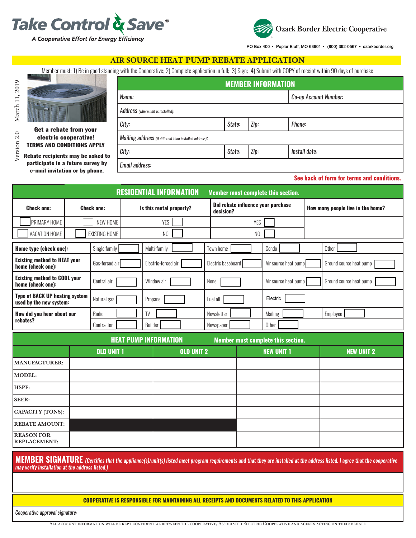



PO Box 400 · Poplar Bluff, MO 63901 · (800) 392-0567 · ozarkborder.org

**See back of form for terms and conditions.**

#### **AIR SOURCE** HEAT PUMP REBATE APPLICATION

Member must: 1) Be in good standing with the Cooperative; 2) Complete application in full; 3) Sign; 4) Submit with COPY of receipt within 90 days of purchase



|                                                                            | <b>MEMBER INFORMATION</b>                              |        |      |                       |  |  |
|----------------------------------------------------------------------------|--------------------------------------------------------|--------|------|-----------------------|--|--|
|                                                                            | Name:                                                  |        |      | Co-op Account Number: |  |  |
| te from your<br>ooperative!<br><b>NDITIONS APPLY</b><br>ts may be asked to | Address (where unit is installed):                     |        |      |                       |  |  |
|                                                                            | City:                                                  | State: | Zip: | Phone:                |  |  |
|                                                                            | Mailing address (if different than installed address): |        |      |                       |  |  |
|                                                                            | City:                                                  | State: | Zip: | Install date:         |  |  |

**Rebate recipient participate in a future survey by e-mail invitation or by phone.**

**Get a rebat electric c TERMS AND CO** 

*Email address:*

**RESIDENTIAL INFORMATION Member must complete this section. Check one: Check one: Is this rental property? Did rebate influence your purchase decision? How many people live in the home?** PRIMARY HOME NEW HOME NEW HOME YES NEW YORK YES NEW YES NEW YES YES NEW YORK YES VACATION HOME EXISTING HOME NO NO **Home type (check one):** Single family **Superification** | Multi-family **The Condo | Condo | Condo | Condo | Condo** | Condo | Condo | Condo | Condo | Condo | Condo | Condo | Condo | Condo | Condo | Condo | Condo | Condo | C **Existing method to HEAT your home (check one):** Gas-forced air **Electric-forced air [1994]** Electric baseboard [1994] Air source heat pump Ground source heat pump Ground source heat pump Ground source heat pump Ground source heat pump Ground source h **Existing method to COOL your home (check one):** Central air **Central air Nundow air None None Air source heat pump Ground source heat pump Ground source heat pump Ground source heat pump Ground source heat pump Ground source heat pump Ground source h Type of BACK UP heating system used by the new system:** Natural gas **Propane Fuel oil Fuel oil Fuel oil Fuel oil** Electric **How did you hear about our rebates?** Radio TV Newsletter Mailing Employee Contractor Builder Builder Rewspaper Rewspaper Contractor

| <b>HEAT PUMP INFORMATION</b><br>Member must complete this section. |                   |                   |                   |                   |  |  |
|--------------------------------------------------------------------|-------------------|-------------------|-------------------|-------------------|--|--|
|                                                                    | <b>OLD UNIT 1</b> | <b>OLD UNIT 2</b> | <b>NEW UNIT 1</b> | <b>NEW UNIT 2</b> |  |  |
| <b>MANUFACTURER:</b>                                               |                   |                   |                   |                   |  |  |
| MODEL:                                                             |                   |                   |                   |                   |  |  |
| <b>HSPF:</b>                                                       |                   |                   |                   |                   |  |  |
| <b>SEER:</b>                                                       |                   |                   |                   |                   |  |  |
| <b>CAPACITY</b> (TONS):                                            |                   |                   |                   |                   |  |  |
| <b>REBATE AMOUNT:</b>                                              |                   |                   |                   |                   |  |  |
| <b>REASON FOR</b><br><b>REPLACEMENT:</b>                           |                   |                   |                   |                   |  |  |

**MEMBER SIGNATURE** *(Certifies that the appliance(s)/unit(s) listed meet program requirements and that they are installed at the address listed. I agree that the cooperative may verify installation at the address listed.)*

**COOPERATIVE IS RESPONSIBLE FOR MAINTAINING ALL RECEIPTS AND DOCUMENTS RELATED TO THIS APPLICATION**

*Cooperative approval signature:*